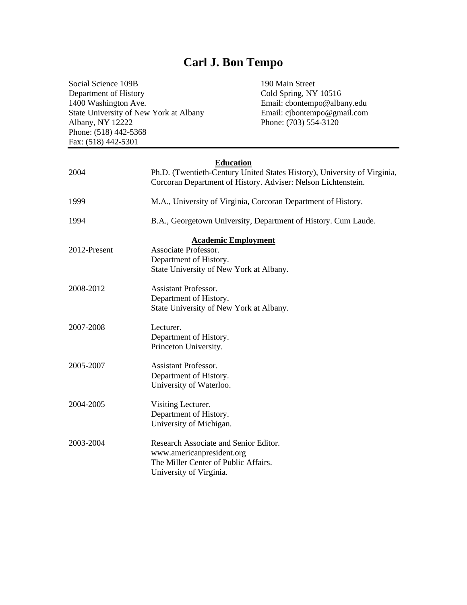## **Carl J. Bon Tempo**

Social Science 109B 190 Main Street Department of History Cold Spring, NY 10516 1400 Washington Ave. Email: cbontempo@albany.edu State University of New York at Albany Email: cjbontempo@gmail.com Albany, NY 12222 Phone: (703) 554-3120 Phone: (518) 442-5368 Fax: (518) 442-5301

# **Education** 2004 Ph.D. (Twentieth-Century United States History), University of Virginia, Corcoran Department of History. Adviser: Nelson Lichtenstein. 1999 M.A., University of Virginia, Corcoran Department of History. 1994 B.A., Georgetown University, Department of History. Cum Laude. **Academic Employment**

|              | <b>Academic Employment</b>              |
|--------------|-----------------------------------------|
| 2012-Present | Associate Professor.                    |
|              | Department of History.                  |
|              | State University of New York at Albany. |
| 2008-2012    | Assistant Professor.                    |
|              | Department of History.                  |
|              | State University of New York at Albany. |
| 2007-2008    | Lecturer.                               |
|              | Department of History.                  |
|              | Princeton University.                   |
| 2005-2007    | Assistant Professor.                    |
|              | Department of History.                  |
|              | University of Waterloo.                 |
| 2004-2005    | Visiting Lecturer.                      |
|              | Department of History.                  |
|              | University of Michigan.                 |
| 2003-2004    | Research Associate and Senior Editor.   |
|              | www.americanpresident.org               |
|              | The Miller Center of Public Affairs.    |
|              | University of Virginia.                 |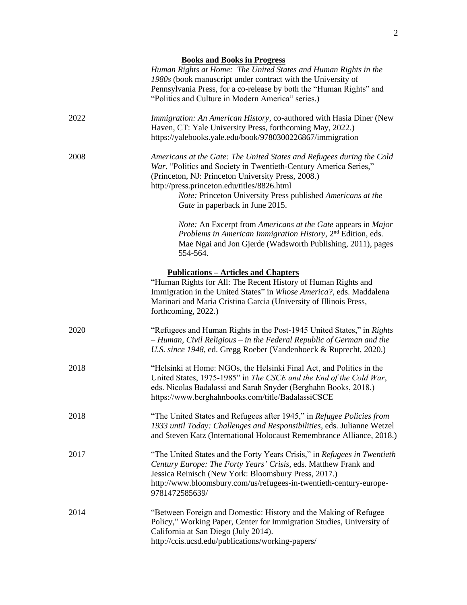| <b>Books and Books in Progress</b> |
|------------------------------------|
|------------------------------------|

*Human Rights at Home: The United States and Human Rights in the 1980s* (book manuscript under contract with the University of Pennsylvania Press, for a co-release by both the "Human Rights" and "Politics and Culture in Modern America" series.)

| 2022 | <i>Immigration: An American History, co-authored with Hasia Diner (New)</i> |
|------|-----------------------------------------------------------------------------|
|      | Haven, CT: Yale University Press, forthcoming May, 2022.)                   |
|      | https://yalebooks.yale.edu/book/9780300226867/immigration                   |
| 2008 | Americans at the Gate: The United States and Refugees during the Cold       |

| ð. | Americans at the Gate: The United States and Refugees during the Cold |
|----|-----------------------------------------------------------------------|
|    | War, "Politics and Society in Twentieth-Century America Series,"      |
|    | (Princeton, NJ: Princeton University Press, 2008.)                    |
|    | http://press.princeton.edu/titles/8826.html                           |
|    | <i>Note:</i> Princeton University Press published Americans at the    |

*Gate* in paperback in June 2015. *Note:* An Excerpt from *Americans at the Gate* appears in *Major* 

Problems in American Immigration History, 2<sup>nd</sup> Edition, eds. Mae Ngai and Jon Gjerde (Wadsworth Publishing, 2011), pages 554-564.

#### **Publications – Articles and Chapters**

| "Human Rights for All: The Recent History of Human Rights and       |
|---------------------------------------------------------------------|
| Immigration in the United States" in Whose America?, eds. Maddalena |
| Marinari and Maria Cristina Garcia (University of Illinois Press,   |
| forthcoming, $2022$ .)                                              |

- 2020 "Refugees and Human Rights in the Post-1945 United States," in *Rights – Human, Civil Religious – in the Federal Republic of German and the U.S. since 1948*, ed. Gregg Roeber (Vandenhoeck & Ruprecht, 2020.)
- 2018 "Helsinki at Home: NGOs, the Helsinki Final Act, and Politics in the United States, 1975-1985" in *The CSCE and the End of the Cold War*, eds. Nicolas Badalassi and Sarah Snyder (Berghahn Books, 2018.) https://www.berghahnbooks.com/title/BadalassiCSCE
- 2018 "The United States and Refugees after 1945," in *Refugee Policies from 1933 until Today: Challenges and Responsibilities*, eds. Julianne Wetzel and Steven Katz (International Holocaust Remembrance Alliance, 2018.)
- 2017 "The United States and the Forty Years Crisis," in *Refugees in Twentieth Century Europe: The Forty Years' Crisis*, eds. Matthew Frank and Jessica Reinisch (New York: Bloomsbury Press, 2017.) http://www.bloomsbury.com/us/refugees-in-twentieth-century-europe-9781472585639/
- 2014 "Between Foreign and Domestic: History and the Making of Refugee Policy," Working Paper, Center for Immigration Studies, University of California at San Diego (July 2014). http://ccis.ucsd.edu/publications/working-papers/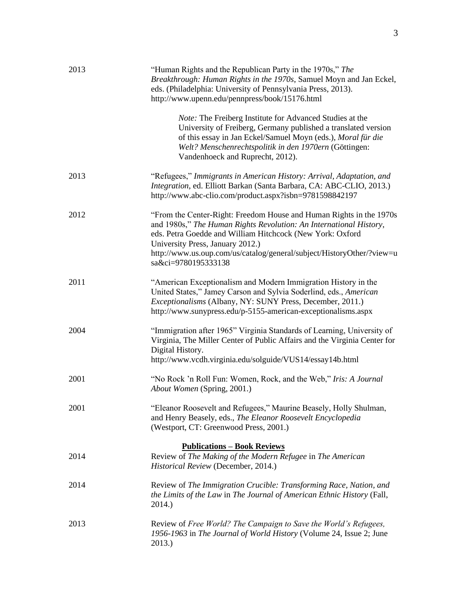| 2013 | "Human Rights and the Republican Party in the 1970s," The<br>Breakthrough: Human Rights in the 1970s, Samuel Moyn and Jan Eckel,<br>eds. (Philadelphia: University of Pennsylvania Press, 2013).<br>http://www.upenn.edu/pennpress/book/15176.html                                                                                         |
|------|--------------------------------------------------------------------------------------------------------------------------------------------------------------------------------------------------------------------------------------------------------------------------------------------------------------------------------------------|
|      | <i>Note:</i> The Freiberg Institute for Advanced Studies at the<br>University of Freiberg, Germany published a translated version<br>of this essay in Jan Eckel/Samuel Moyn (eds.), Moral für die<br>Welt? Menschenrechtspolitik in den 1970ern (Göttingen:<br>Vandenhoeck and Ruprecht, 2012).                                            |
| 2013 | "Refugees," Immigrants in American History: Arrival, Adaptation, and<br>Integration, ed. Elliott Barkan (Santa Barbara, CA: ABC-CLIO, 2013.)<br>http://www.abc-clio.com/product.aspx?isbn=9781598842197                                                                                                                                    |
| 2012 | "From the Center-Right: Freedom House and Human Rights in the 1970s<br>and 1980s," The Human Rights Revolution: An International History,<br>eds. Petra Goedde and William Hitchcock (New York: Oxford<br>University Press, January 2012.)<br>http://www.us.oup.com/us/catalog/general/subject/HistoryOther/?view=u<br>sa&ci=9780195333138 |
| 2011 | "American Exceptionalism and Modern Immigration History in the<br>United States," Jamey Carson and Sylvia Soderlind, eds., American<br>Exceptionalisms (Albany, NY: SUNY Press, December, 2011.)<br>http://www.sunypress.edu/p-5155-american-exceptionalisms.aspx                                                                          |
| 2004 | "Immigration after 1965" Virginia Standards of Learning, University of<br>Virginia, The Miller Center of Public Affairs and the Virginia Center for<br>Digital History.<br>http://www.vcdh.virginia.edu/solguide/VUS14/essay14b.html                                                                                                       |
| 2001 | "No Rock 'n Roll Fun: Women, Rock, and the Web," Iris: A Journal<br>About Women (Spring, 2001.)                                                                                                                                                                                                                                            |
| 2001 | "Eleanor Roosevelt and Refugees," Maurine Beasely, Holly Shulman,<br>and Henry Beasely, eds., The Eleanor Roosevelt Encyclopedia<br>(Westport, CT: Greenwood Press, 2001.)                                                                                                                                                                 |
| 2014 | <b>Publications - Book Reviews</b><br>Review of The Making of the Modern Refugee in The American<br>Historical Review (December, 2014.)                                                                                                                                                                                                    |
| 2014 | Review of The Immigration Crucible: Transforming Race, Nation, and<br>the Limits of the Law in The Journal of American Ethnic History (Fall,<br>2014.)                                                                                                                                                                                     |
| 2013 | Review of Free World? The Campaign to Save the World's Refugees,<br>1956-1963 in The Journal of World History (Volume 24, Issue 2; June<br>2013.)                                                                                                                                                                                          |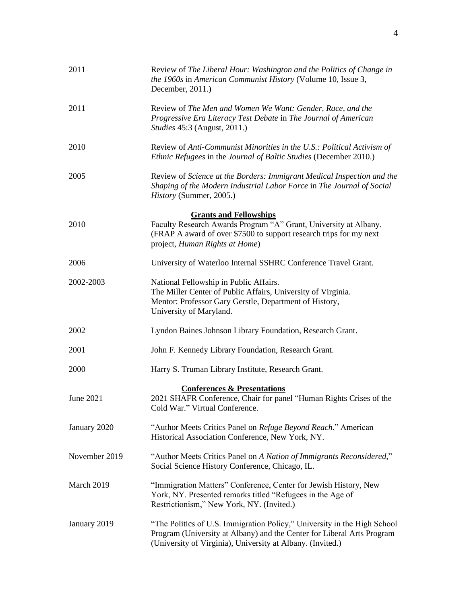| 2011          | Review of The Liberal Hour: Washington and the Politics of Change in<br>the 1960s in American Communist History (Volume 10, Issue 3,<br>December, 2011.)                                                         |
|---------------|------------------------------------------------------------------------------------------------------------------------------------------------------------------------------------------------------------------|
| 2011          | Review of The Men and Women We Want: Gender, Race, and the<br>Progressive Era Literacy Test Debate in The Journal of American<br><i>Studies</i> 45:3 (August, 2011.)                                             |
| 2010          | Review of Anti-Communist Minorities in the U.S.: Political Activism of<br><i>Ethnic Refugees</i> in the <i>Journal of Baltic Studies</i> (December 2010.)                                                        |
| 2005          | Review of Science at the Borders: Immigrant Medical Inspection and the<br>Shaping of the Modern Industrial Labor Force in The Journal of Social<br>History (Summer, 2005.)                                       |
|               | <b>Grants and Fellowships</b>                                                                                                                                                                                    |
| 2010          | Faculty Research Awards Program "A" Grant, University at Albany.<br>(FRAP A award of over \$7500 to support research trips for my next<br>project, Human Rights at Home)                                         |
| 2006          | University of Waterloo Internal SSHRC Conference Travel Grant.                                                                                                                                                   |
| 2002-2003     | National Fellowship in Public Affairs.<br>The Miller Center of Public Affairs, University of Virginia.<br>Mentor: Professor Gary Gerstle, Department of History,<br>University of Maryland.                      |
| 2002          | Lyndon Baines Johnson Library Foundation, Research Grant.                                                                                                                                                        |
| 2001          | John F. Kennedy Library Foundation, Research Grant.                                                                                                                                                              |
| 2000          | Harry S. Truman Library Institute, Research Grant.                                                                                                                                                               |
| June 2021     | <b>Conferences &amp; Presentations</b><br>2021 SHAFR Conference, Chair for panel "Human Rights Crises of the<br>Cold War." Virtual Conference.                                                                   |
| January 2020  | "Author Meets Critics Panel on Refuge Beyond Reach," American<br>Historical Association Conference, New York, NY.                                                                                                |
| November 2019 | "Author Meets Critics Panel on A Nation of Immigrants Reconsidered,"<br>Social Science History Conference, Chicago, IL.                                                                                          |
| March 2019    | "Immigration Matters" Conference, Center for Jewish History, New<br>York, NY. Presented remarks titled "Refugees in the Age of<br>Restrictionism," New York, NY. (Invited.)                                      |
| January 2019  | "The Politics of U.S. Immigration Policy," University in the High School<br>Program (University at Albany) and the Center for Liberal Arts Program<br>(University of Virginia), University at Albany. (Invited.) |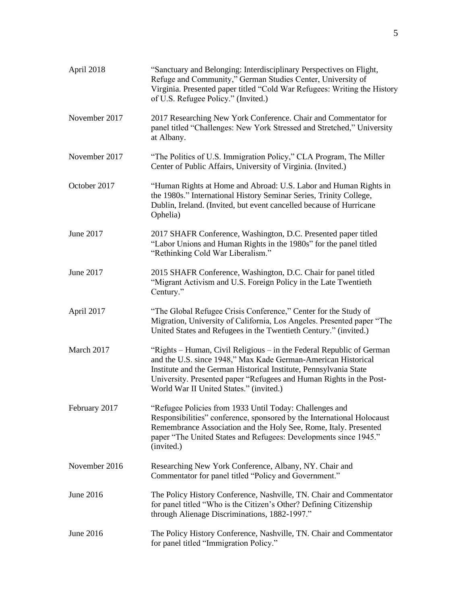| April 2018    | "Sanctuary and Belonging: Interdisciplinary Perspectives on Flight,<br>Refuge and Community," German Studies Center, University of<br>Virginia. Presented paper titled "Cold War Refugees: Writing the History<br>of U.S. Refugee Policy." (Invited.)                                                                        |
|---------------|------------------------------------------------------------------------------------------------------------------------------------------------------------------------------------------------------------------------------------------------------------------------------------------------------------------------------|
| November 2017 | 2017 Researching New York Conference. Chair and Commentator for<br>panel titled "Challenges: New York Stressed and Stretched," University<br>at Albany.                                                                                                                                                                      |
| November 2017 | "The Politics of U.S. Immigration Policy," CLA Program, The Miller<br>Center of Public Affairs, University of Virginia. (Invited.)                                                                                                                                                                                           |
| October 2017  | "Human Rights at Home and Abroad: U.S. Labor and Human Rights in<br>the 1980s." International History Seminar Series, Trinity College,<br>Dublin, Ireland. (Invited, but event cancelled because of Hurricane<br>Ophelia)                                                                                                    |
| June 2017     | 2017 SHAFR Conference, Washington, D.C. Presented paper titled<br>"Labor Unions and Human Rights in the 1980s" for the panel titled<br>"Rethinking Cold War Liberalism."                                                                                                                                                     |
| June 2017     | 2015 SHAFR Conference, Washington, D.C. Chair for panel titled<br>"Migrant Activism and U.S. Foreign Policy in the Late Twentieth<br>Century."                                                                                                                                                                               |
| April 2017    | "The Global Refugee Crisis Conference," Center for the Study of<br>Migration, University of California, Los Angeles. Presented paper "The<br>United States and Refugees in the Twentieth Century." (invited.)                                                                                                                |
| March 2017    | "Rights – Human, Civil Religious – in the Federal Republic of German<br>and the U.S. since 1948," Max Kade German-American Historical<br>Institute and the German Historical Institute, Pennsylvania State<br>University. Presented paper "Refugees and Human Rights in the Post-<br>World War II United States." (invited.) |
| February 2017 | "Refugee Policies from 1933 Until Today: Challenges and<br>Responsibilities" conference, sponsored by the International Holocaust<br>Remembrance Association and the Holy See, Rome, Italy. Presented<br>paper "The United States and Refugees: Developments since 1945."<br>(invited.)                                      |
| November 2016 | Researching New York Conference, Albany, NY. Chair and<br>Commentator for panel titled "Policy and Government."                                                                                                                                                                                                              |
| June 2016     | The Policy History Conference, Nashville, TN. Chair and Commentator<br>for panel titled "Who is the Citizen's Other? Defining Citizenship<br>through Alienage Discriminations, 1882-1997."                                                                                                                                   |
| June 2016     | The Policy History Conference, Nashville, TN. Chair and Commentator<br>for panel titled "Immigration Policy."                                                                                                                                                                                                                |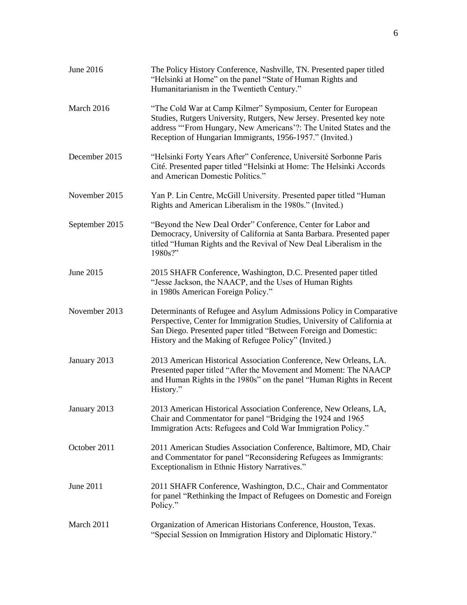| June 2016      | The Policy History Conference, Nashville, TN. Presented paper titled<br>"Helsinki at Home" on the panel "State of Human Rights and<br>Humanitarianism in the Twentieth Century."                                                                                            |
|----------------|-----------------------------------------------------------------------------------------------------------------------------------------------------------------------------------------------------------------------------------------------------------------------------|
| March 2016     | "The Cold War at Camp Kilmer" Symposium, Center for European<br>Studies, Rutgers University, Rutgers, New Jersey. Presented key note<br>address "'From Hungary, New Americans'?: The United States and the<br>Reception of Hungarian Immigrants, 1956-1957." (Invited.)     |
| December 2015  | "Helsinki Forty Years After" Conference, Université Sorbonne Paris<br>Cité. Presented paper titled "Helsinki at Home: The Helsinki Accords<br>and American Domestic Politics."                                                                                              |
| November 2015  | Yan P. Lin Centre, McGill University. Presented paper titled "Human<br>Rights and American Liberalism in the 1980s." (Invited.)                                                                                                                                             |
| September 2015 | "Beyond the New Deal Order" Conference, Center for Labor and<br>Democracy, University of California at Santa Barbara. Presented paper<br>titled "Human Rights and the Revival of New Deal Liberalism in the<br>1980s?"                                                      |
| June 2015      | 2015 SHAFR Conference, Washington, D.C. Presented paper titled<br>"Jesse Jackson, the NAACP, and the Uses of Human Rights<br>in 1980s American Foreign Policy."                                                                                                             |
| November 2013  | Determinants of Refugee and Asylum Admissions Policy in Comparative<br>Perspective, Center for Immigration Studies, University of California at<br>San Diego. Presented paper titled "Between Foreign and Domestic:<br>History and the Making of Refugee Policy" (Invited.) |
| January 2013   | 2013 American Historical Association Conference, New Orleans, LA.<br>Presented paper titled "After the Movement and Moment: The NAACP<br>and Human Rights in the 1980s" on the panel "Human Rights in Recent<br>History."                                                   |
| January 2013   | 2013 American Historical Association Conference, New Orleans, LA,<br>Chair and Commentator for panel "Bridging the 1924 and 1965<br>Immigration Acts: Refugees and Cold War Immigration Policy."                                                                            |
| October 2011   | 2011 American Studies Association Conference, Baltimore, MD, Chair<br>and Commentator for panel "Reconsidering Refugees as Immigrants:<br>Exceptionalism in Ethnic History Narratives."                                                                                     |
| June 2011      | 2011 SHAFR Conference, Washington, D.C., Chair and Commentator<br>for panel "Rethinking the Impact of Refugees on Domestic and Foreign<br>Policy."                                                                                                                          |
| March 2011     | Organization of American Historians Conference, Houston, Texas.<br>"Special Session on Immigration History and Diplomatic History."                                                                                                                                         |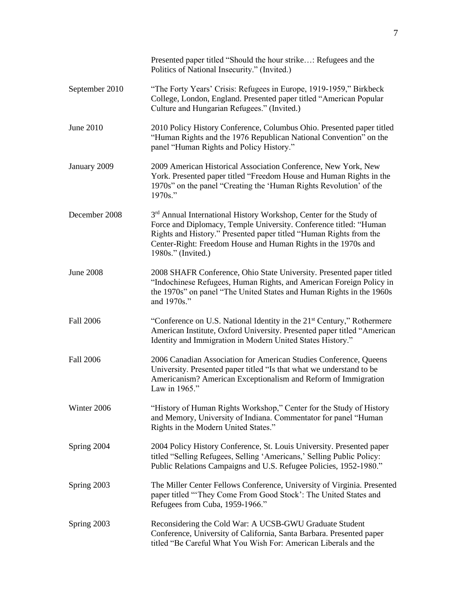|                  | Presented paper titled "Should the hour strike: Refugees and the<br>Politics of National Insecurity." (Invited.)                                                                                                                                                                                                 |
|------------------|------------------------------------------------------------------------------------------------------------------------------------------------------------------------------------------------------------------------------------------------------------------------------------------------------------------|
| September 2010   | "The Forty Years' Crisis: Refugees in Europe, 1919-1959," Birkbeck<br>College, London, England. Presented paper titled "American Popular<br>Culture and Hungarian Refugees." (Invited.)                                                                                                                          |
| June 2010        | 2010 Policy History Conference, Columbus Ohio. Presented paper titled<br>"Human Rights and the 1976 Republican National Convention" on the<br>panel "Human Rights and Policy History."                                                                                                                           |
| January 2009     | 2009 American Historical Association Conference, New York, New<br>York. Presented paper titled "Freedom House and Human Rights in the<br>1970s" on the panel "Creating the 'Human Rights Revolution' of the<br>1970s."                                                                                           |
| December 2008    | 3 <sup>rd</sup> Annual International History Workshop, Center for the Study of<br>Force and Diplomacy, Temple University. Conference titled: "Human<br>Rights and History." Presented paper titled "Human Rights from the<br>Center-Right: Freedom House and Human Rights in the 1970s and<br>1980s." (Invited.) |
| <b>June 2008</b> | 2008 SHAFR Conference, Ohio State University. Presented paper titled<br>"Indochinese Refugees, Human Rights, and American Foreign Policy in<br>the 1970s" on panel "The United States and Human Rights in the 1960s<br>and 1970s."                                                                               |
| <b>Fall 2006</b> | "Conference on U.S. National Identity in the 21 <sup>st</sup> Century," Rothermere<br>American Institute, Oxford University. Presented paper titled "American<br>Identity and Immigration in Modern United States History."                                                                                      |
| <b>Fall 2006</b> | 2006 Canadian Association for American Studies Conference, Queens<br>University. Presented paper titled "Is that what we understand to be<br>Americanism? American Exceptionalism and Reform of Immigration<br>Law in 1965."                                                                                     |
| Winter 2006      | "History of Human Rights Workshop," Center for the Study of History<br>and Memory, University of Indiana. Commentator for panel "Human<br>Rights in the Modern United States."                                                                                                                                   |
| Spring 2004      | 2004 Policy History Conference, St. Louis University. Presented paper<br>titled "Selling Refugees, Selling 'Americans,' Selling Public Policy:<br>Public Relations Campaigns and U.S. Refugee Policies, 1952-1980."                                                                                              |
| Spring 2003      | The Miller Center Fellows Conference, University of Virginia. Presented<br>paper titled "They Come From Good Stock': The United States and<br>Refugees from Cuba, 1959-1966."                                                                                                                                    |
| Spring 2003      | Reconsidering the Cold War: A UCSB-GWU Graduate Student<br>Conference, University of California, Santa Barbara. Presented paper<br>titled "Be Careful What You Wish For: American Liberals and the                                                                                                               |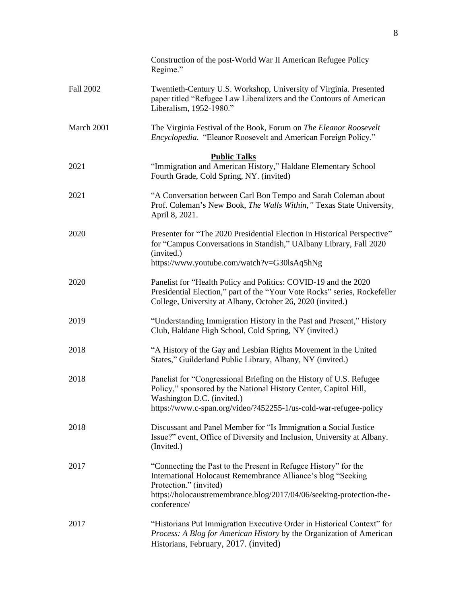|            | Construction of the post-World War II American Refugee Policy<br>Regime."                                                                                                                                                                        |
|------------|--------------------------------------------------------------------------------------------------------------------------------------------------------------------------------------------------------------------------------------------------|
| Fall 2002  | Twentieth-Century U.S. Workshop, University of Virginia. Presented<br>paper titled "Refugee Law Liberalizers and the Contours of American<br>Liberalism, 1952-1980."                                                                             |
| March 2001 | The Virginia Festival of the Book, Forum on The Eleanor Roosevelt<br>Encyclopedia. "Eleanor Roosevelt and American Foreign Policy."                                                                                                              |
| 2021       | <b>Public Talks</b><br>"Immigration and American History," Haldane Elementary School<br>Fourth Grade, Cold Spring, NY. (invited)                                                                                                                 |
| 2021       | "A Conversation between Carl Bon Tempo and Sarah Coleman about<br>Prof. Coleman's New Book, The Walls Within," Texas State University,<br>April 8, 2021.                                                                                         |
| 2020       | Presenter for "The 2020 Presidential Election in Historical Perspective"<br>for "Campus Conversations in Standish," UAlbany Library, Fall 2020<br>(invited.)<br>https://www.youtube.com/watch?v=G30lsAq5hNg                                      |
| 2020       | Panelist for "Health Policy and Politics: COVID-19 and the 2020<br>Presidential Election," part of the "Your Vote Rocks" series, Rockefeller<br>College, University at Albany, October 26, 2020 (invited.)                                       |
| 2019       | "Understanding Immigration History in the Past and Present," History<br>Club, Haldane High School, Cold Spring, NY (invited.)                                                                                                                    |
| 2018       | "A History of the Gay and Lesbian Rights Movement in the United<br>States," Guilderland Public Library, Albany, NY (invited.)                                                                                                                    |
| 2018       | Panelist for "Congressional Briefing on the History of U.S. Refugee<br>Policy," sponsored by the National History Center, Capitol Hill,<br>Washington D.C. (invited.)<br>https://www.c-span.org/video/?452255-1/us-cold-war-refugee-policy       |
| 2018       | Discussant and Panel Member for "Is Immigration a Social Justice<br>Issue?" event, Office of Diversity and Inclusion, University at Albany.<br>(Invited.)                                                                                        |
| 2017       | "Connecting the Past to the Present in Refugee History" for the<br>International Holocaust Remembrance Alliance's blog "Seeking<br>Protection." (invited)<br>https://holocaustremembrance.blog/2017/04/06/seeking-protection-the-<br>conference/ |
| 2017       | "Historians Put Immigration Executive Order in Historical Context" for<br>Process: A Blog for American History by the Organization of American<br>Historians, February, 2017. (invited)                                                          |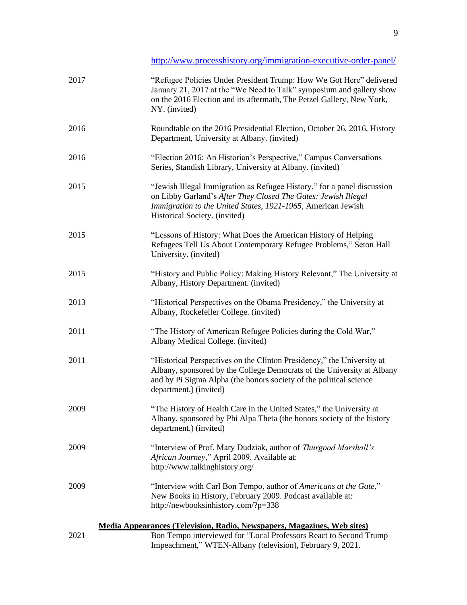<http://www.processhistory.org/immigration-executive-order-panel/>

| 2017 | "Refugee Policies Under President Trump: How We Got Here" delivered<br>January 21, 2017 at the "We Need to Talk" symposium and gallery show<br>on the 2016 Election and its aftermath, The Petzel Gallery, New York,<br>NY. (invited)            |
|------|--------------------------------------------------------------------------------------------------------------------------------------------------------------------------------------------------------------------------------------------------|
| 2016 | Roundtable on the 2016 Presidential Election, October 26, 2016, History<br>Department, University at Albany. (invited)                                                                                                                           |
| 2016 | "Election 2016: An Historian's Perspective," Campus Conversations<br>Series, Standish Library, University at Albany. (invited)                                                                                                                   |
| 2015 | "Jewish Illegal Immigration as Refugee History," for a panel discussion<br>on Libby Garland's After They Closed The Gates: Jewish Illegal<br>Immigration to the United States, 1921-1965, American Jewish<br>Historical Society. (invited)       |
| 2015 | "Lessons of History: What Does the American History of Helping<br>Refugees Tell Us About Contemporary Refugee Problems," Seton Hall<br>University. (invited)                                                                                     |
| 2015 | "History and Public Policy: Making History Relevant," The University at<br>Albany, History Department. (invited)                                                                                                                                 |
| 2013 | "Historical Perspectives on the Obama Presidency," the University at<br>Albany, Rockefeller College. (invited)                                                                                                                                   |
| 2011 | "The History of American Refugee Policies during the Cold War,"<br>Albany Medical College. (invited)                                                                                                                                             |
| 2011 | "Historical Perspectives on the Clinton Presidency," the University at<br>Albany, sponsored by the College Democrats of the University at Albany<br>and by Pi Sigma Alpha (the honors society of the political science<br>department.) (invited) |
| 2009 | "The History of Health Care in the United States," the University at<br>Albany, sponsored by Phi Alpa Theta (the honors society of the history<br>department.) (invited)                                                                         |
| 2009 | "Interview of Prof. Mary Dudziak, author of Thurgood Marshall's<br>African Journey," April 2009. Available at:<br>http://www.talkinghistory.org/                                                                                                 |
| 2009 | "Interview with Carl Bon Tempo, author of Americans at the Gate,"<br>New Books in History, February 2009. Podcast available at:<br>http://newbooksinhistory.com/?p=338                                                                           |
|      | Media Appearances (Television, Radio, Newspapers, Magazines, Web sites)                                                                                                                                                                          |
| 2021 | Bon Tempo interviewed for "Local Professors React to Second Trump<br>Impeachment," WTEN-Albany (television), February 9, 2021.                                                                                                                   |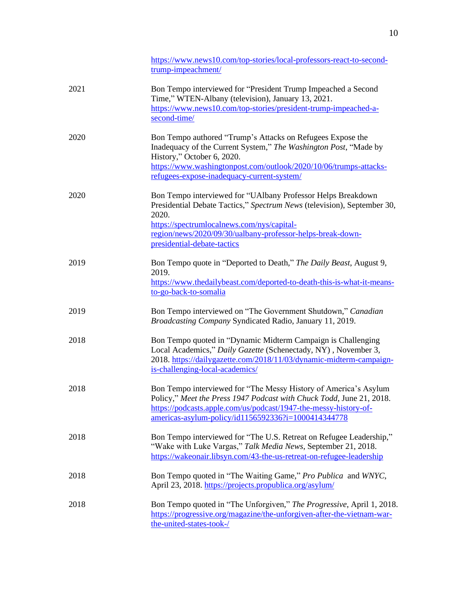|      | https://www.news10.com/top-stories/local-professors-react-to-second-<br>trump-impeachment/                                                                                                                                                                                                  |
|------|---------------------------------------------------------------------------------------------------------------------------------------------------------------------------------------------------------------------------------------------------------------------------------------------|
| 2021 | Bon Tempo interviewed for "President Trump Impeached a Second<br>Time," WTEN-Albany (television), January 13, 2021.<br>https://www.news10.com/top-stories/president-trump-impeached-a-<br>second-time/                                                                                      |
| 2020 | Bon Tempo authored "Trump's Attacks on Refugees Expose the<br>Inadequacy of the Current System," The Washington Post, "Made by<br>History," October 6, 2020.<br>https://www.washingtonpost.com/outlook/2020/10/06/trumps-attacks-<br>refugees-expose-inadequacy-current-system/             |
| 2020 | Bon Tempo interviewed for "UAlbany Professor Helps Breakdown<br>Presidential Debate Tactics," Spectrum News (television), September 30,<br>2020.<br>https://spectrumlocalnews.com/nys/capital-<br>region/news/2020/09/30/ualbany-professor-helps-break-down-<br>presidential-debate-tactics |
| 2019 | Bon Tempo quote in "Deported to Death," The Daily Beast, August 9,<br>2019.<br>https://www.thedailybeast.com/deported-to-death-this-is-what-it-means-<br>to-go-back-to-somalia                                                                                                              |
| 2019 | Bon Tempo interviewed on "The Government Shutdown," Canadian<br>Broadcasting Company Syndicated Radio, January 11, 2019.                                                                                                                                                                    |
| 2018 | Bon Tempo quoted in "Dynamic Midterm Campaign is Challenging<br>Local Academics," Daily Gazette (Schenectady, NY), November 3,<br>2018. https://dailygazette.com/2018/11/03/dynamic-midterm-campaign-<br>is-challenging-local-academics/                                                    |
| 2018 | Bon Tempo interviewed for "The Messy History of America's Asylum<br>Policy," Meet the Press 1947 Podcast with Chuck Todd, June 21, 2018.<br>https://podcasts.apple.com/us/podcast/1947-the-messy-history-of-<br>americas-asylum-policy/id1156592336?i=1000414344778                         |
| 2018 | Bon Tempo interviewed for "The U.S. Retreat on Refugee Leadership,"<br>"Wake with Luke Vargas," Talk Media News, September 21, 2018.<br>https://wakeonair.libsyn.com/43-the-us-retreat-on-refugee-leadership                                                                                |
| 2018 | Bon Tempo quoted in "The Waiting Game," Pro Publica and WNYC,<br>April 23, 2018. https://projects.propublica.org/asylum/                                                                                                                                                                    |
| 2018 | Bon Tempo quoted in "The Unforgiven," The Progressive, April 1, 2018.<br>https://progressive.org/magazine/the-unforgiven-after-the-vietnam-war-<br>the-united-states-took-/                                                                                                                 |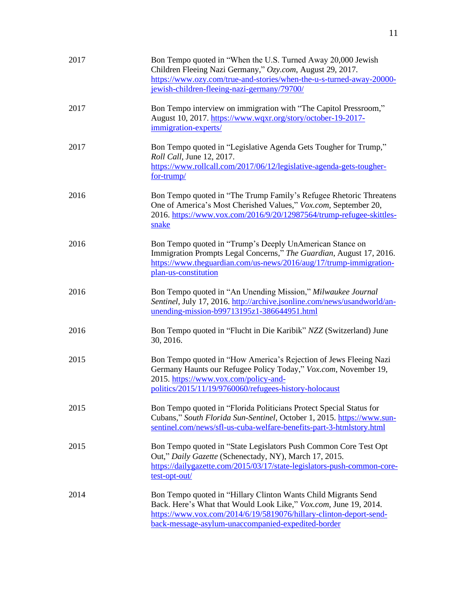| 2017 | Bon Tempo quoted in "When the U.S. Turned Away 20,000 Jewish<br>Children Fleeing Nazi Germany," Ozy.com, August 29, 2017.<br>https://www.ozy.com/true-and-stories/when-the-u-s-turned-away-20000-<br>jewish-children-fleeing-nazi-germany/79700/               |
|------|----------------------------------------------------------------------------------------------------------------------------------------------------------------------------------------------------------------------------------------------------------------|
| 2017 | Bon Tempo interview on immigration with "The Capitol Pressroom,"<br>August 10, 2017. https://www.wqxr.org/story/october-19-2017-<br>immigration-experts/                                                                                                       |
| 2017 | Bon Tempo quoted in "Legislative Agenda Gets Tougher for Trump,"<br>Roll Call, June 12, 2017.<br>https://www.rollcall.com/2017/06/12/legislative-agenda-gets-tougher-<br>for-trump/                                                                            |
| 2016 | Bon Tempo quoted in "The Trump Family's Refugee Rhetoric Threatens<br>One of America's Most Cherished Values," Vox.com, September 20,<br>2016. https://www.vox.com/2016/9/20/12987564/trump-refugee-skittles-<br>snake                                         |
| 2016 | Bon Tempo quoted in "Trump's Deeply UnAmerican Stance on<br>Immigration Prompts Legal Concerns," The Guardian, August 17, 2016.<br>https://www.theguardian.com/us-news/2016/aug/17/trump-immigration-<br>plan-us-constitution                                  |
| 2016 | Bon Tempo quoted in "An Unending Mission," Milwaukee Journal<br>Sentinel, July 17, 2016. http://archive.jsonline.com/news/usandworld/an-<br>unending-mission-b99713195z1-386644951.html                                                                        |
| 2016 | Bon Tempo quoted in "Flucht in Die Karibik" NZZ (Switzerland) June<br>30, 2016.                                                                                                                                                                                |
| 2015 | Bon Tempo quoted in "How America's Rejection of Jews Fleeing Nazi<br>Germany Haunts our Refugee Policy Today," Vox.com, November 19,<br>2015. https://www.vox.com/policy-and-<br>politics/2015/11/19/9760060/refugees-history-holocaust                        |
| 2015 | Bon Tempo quoted in "Florida Politicians Protect Special Status for<br>Cubans," South Florida Sun-Sentinel, October 1, 2015. https://www.sun-<br>sentinel.com/news/sfl-us-cuba-welfare-benefits-part-3-htmlstory.html                                          |
| 2015 | Bon Tempo quoted in "State Legislators Push Common Core Test Opt<br>Out," Daily Gazette (Schenectady, NY), March 17, 2015.<br>https://dailygazette.com/2015/03/17/state-legislators-push-common-core-<br>test-opt-out/                                         |
| 2014 | Bon Tempo quoted in "Hillary Clinton Wants Child Migrants Send<br>Back. Here's What that Would Look Like," Vox.com, June 19, 2014.<br>https://www.vox.com/2014/6/19/5819076/hillary-clinton-deport-send-<br>back-message-asylum-unaccompanied-expedited-border |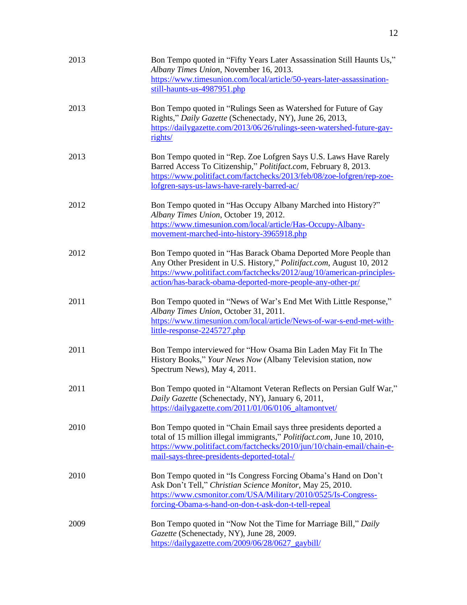| 2013 | Bon Tempo quoted in "Fifty Years Later Assassination Still Haunts Us,"<br>Albany Times Union, November 16, 2013.<br>https://www.timesunion.com/local/article/50-years-later-assassination-<br>still-haunts-us-4987951.php                                                        |
|------|----------------------------------------------------------------------------------------------------------------------------------------------------------------------------------------------------------------------------------------------------------------------------------|
| 2013 | Bon Tempo quoted in "Rulings Seen as Watershed for Future of Gay<br>Rights," Daily Gazette (Schenectady, NY), June 26, 2013,<br>https://dailygazette.com/2013/06/26/rulings-seen-watershed-future-gay-<br>rights/                                                                |
| 2013 | Bon Tempo quoted in "Rep. Zoe Lofgren Says U.S. Laws Have Rarely<br>Barred Access To Citizenship," Politifact.com, February 8, 2013.<br>https://www.politifact.com/factchecks/2013/feb/08/zoe-lofgren/rep-zoe-<br>lofgren-says-us-laws-have-rarely-barred-ac/                    |
| 2012 | Bon Tempo quoted in "Has Occupy Albany Marched into History?"<br>Albany Times Union, October 19, 2012.<br>https://www.timesunion.com/local/article/Has-Occupy-Albany-<br>movement-marched-into-history-3965918.php                                                               |
| 2012 | Bon Tempo quoted in "Has Barack Obama Deported More People than<br>Any Other President in U.S. History," Politifact.com, August 10, 2012<br>https://www.politifact.com/factchecks/2012/aug/10/american-principles-<br>action/has-barack-obama-deported-more-people-any-other-pr/ |
| 2011 | Bon Tempo quoted in "News of War's End Met With Little Response,"<br>Albany Times Union, October 31, 2011.<br>https://www.timesunion.com/local/article/News-of-war-s-end-met-with-<br>little-response-2245727.php                                                                |
| 2011 | Bon Tempo interviewed for "How Osama Bin Laden May Fit In The<br>History Books," Your News Now (Albany Television station, now<br>Spectrum News), May 4, 2011.                                                                                                                   |
| 2011 | Bon Tempo quoted in "Altamont Veteran Reflects on Persian Gulf War,"<br>Daily Gazette (Schenectady, NY), January 6, 2011,<br>https://dailygazette.com/2011/01/06/0106_altamontvet/                                                                                               |
| 2010 | Bon Tempo quoted in "Chain Email says three presidents deported a<br>total of 15 million illegal immigrants," Politifact.com, June 10, 2010,<br>https://www.politifact.com/factchecks/2010/jun/10/chain-email/chain-e-<br>mail-says-three-presidents-deported-total-/            |
| 2010 | Bon Tempo quoted in "Is Congress Forcing Obama's Hand on Don't<br>Ask Don't Tell," Christian Science Monitor, May 25, 2010.<br>https://www.csmonitor.com/USA/Military/2010/0525/Is-Congress-<br>forcing-Obama-s-hand-on-don-t-ask-don-t-tell-repeal                              |
| 2009 | Bon Tempo quoted in "Now Not the Time for Marriage Bill," Daily<br>Gazette (Schenectady, NY), June 28, 2009.<br>https://dailygazette.com/2009/06/28/0627_gaybill/                                                                                                                |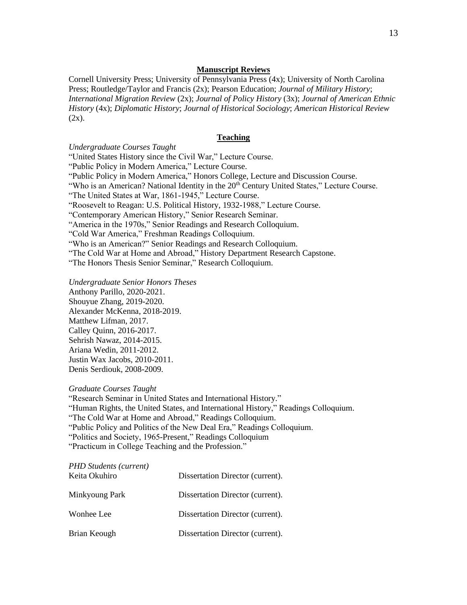#### **Manuscript Reviews**

Cornell University Press; University of Pennsylvania Press (4x); University of North Carolina Press; Routledge/Taylor and Francis (2x); Pearson Education; *Journal of Military History*; *International Migration Review* (2x); *Journal of Policy History* (3x); *Journal of American Ethnic History* (4x); *Diplomatic History*; *Journal of Historical Sociology*; *American Historical Review*  $(2x)$ .

#### **Teaching**

*Undergraduate Courses Taught*

"United States History since the Civil War," Lecture Course.

"Public Policy in Modern America," Lecture Course.

"Public Policy in Modern America," Honors College, Lecture and Discussion Course.

"Who is an American? National Identity in the 20<sup>th</sup> Century United States," Lecture Course.

"The United States at War, 1861-1945," Lecture Course.

"Roosevelt to Reagan: U.S. Political History, 1932-1988," Lecture Course.

"Contemporary American History," Senior Research Seminar.

"America in the 1970s," Senior Readings and Research Colloquium.

"Cold War America," Freshman Readings Colloquium.

"Who is an American?" Senior Readings and Research Colloquium.

"The Cold War at Home and Abroad," History Department Research Capstone.

"The Honors Thesis Senior Seminar," Research Colloquium.

*Undergraduate Senior Honors Theses*

Anthony Parillo, 2020-2021. Shouyue Zhang, 2019-2020. Alexander McKenna, 2018-2019. Matthew Lifman, 2017. Calley Quinn, 2016-2017. Sehrish Nawaz, 2014-2015. Ariana Wedin, 2011-2012. Justin Wax Jacobs, 2010-2011. Denis Serdiouk, 2008-2009.

#### *Graduate Courses Taught*

"Research Seminar in United States and International History." "Human Rights, the United States, and International History," Readings Colloquium. "The Cold War at Home and Abroad," Readings Colloquium. "Public Policy and Politics of the New Deal Era," Readings Colloquium. "Politics and Society, 1965-Present," Readings Colloquium "Practicum in College Teaching and the Profession."

| <b>PHD Students (current)</b><br>Keita Okuhiro | Dissertation Director (current). |
|------------------------------------------------|----------------------------------|
| Minkyoung Park                                 | Dissertation Director (current). |
| Wonhee Lee                                     | Dissertation Director (current). |
| Brian Keough                                   | Dissertation Director (current). |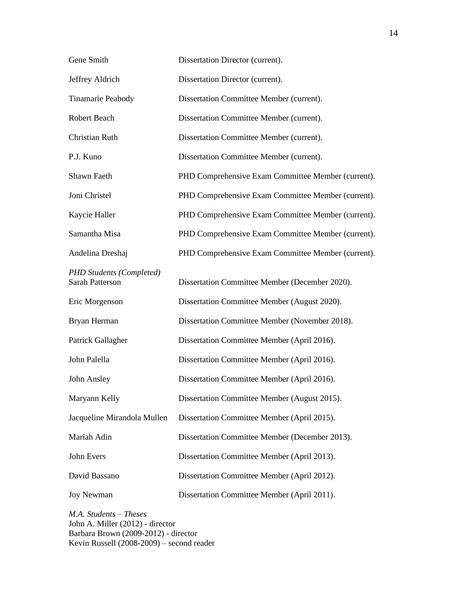| Gene Smith                                                | Dissertation Director (current).                   |
|-----------------------------------------------------------|----------------------------------------------------|
| Jeffrey Aldrich                                           | Dissertation Director (current).                   |
| Tinamarie Peabody                                         | Dissertation Committee Member (current).           |
| Robert Beach                                              | Dissertation Committee Member (current).           |
| Christian Ruth                                            | Dissertation Committee Member (current).           |
| P.J. Kuno                                                 | Dissertation Committee Member (current).           |
| Shawn Faeth                                               | PHD Comprehensive Exam Committee Member (current). |
| Joni Christel                                             | PHD Comprehensive Exam Committee Member (current). |
| Kaycie Haller                                             | PHD Comprehensive Exam Committee Member (current). |
| Samantha Misa                                             | PHD Comprehensive Exam Committee Member (current). |
| Andelina Dreshaj                                          | PHD Comprehensive Exam Committee Member (current). |
| <b>PHD Students (Completed)</b><br><b>Sarah Patterson</b> | Dissertation Committee Member (December 2020).     |
| Eric Morgenson                                            | Dissertation Committee Member (August 2020).       |
| Bryan Herman                                              | Dissertation Committee Member (November 2018).     |
| Patrick Gallagher                                         | Dissertation Committee Member (April 2016).        |
| John Palella                                              | Dissertation Committee Member (April 2016).        |
| John Ansley                                               | Dissertation Committee Member (April 2016).        |
| Maryann Kelly                                             | Dissertation Committee Member (August 2015).       |
| Jacqueline Mirandola Mullen                               | Dissertation Committee Member (April 2015).        |
| Mariah Adin                                               | Dissertation Committee Member (December 2013).     |
| John Evers                                                | Dissertation Committee Member (April 2013).        |
| David Bassano                                             | Dissertation Committee Member (April 2012).        |
| <b>Joy Newman</b>                                         | Dissertation Committee Member (April 2011).        |
|                                                           |                                                    |

*M.A. Students – Theses* John A. Miller (2012) - director Barbara Brown (2009-2012) - director Kevin Russell (2008-2009) – second reader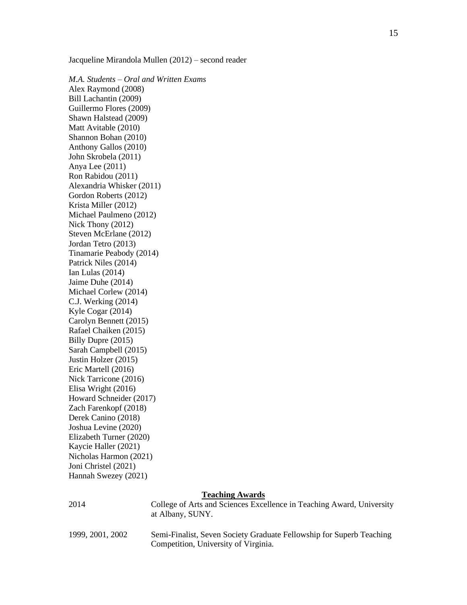Jacqueline Mirandola Mullen (2012) – second reader

*M.A. Students – Oral and Written Exams* Alex Raymond (2008) Bill Lachantin (2009) Guillermo Flores (2009) Shawn Halstead (2009) Matt Avitable (2010) Shannon Bohan (2010) Anthony Gallos (2010) John Skrobela (2011) Anya Lee (2011) Ron Rabidou (2011) Alexandria Whisker (2011) Gordon Roberts (2012) Krista Miller (2012) Michael Paulmeno (2012) Nick Thony (2012) Steven McErlane (2012) Jordan Tetro (2013) Tinamarie Peabody (2014) Patrick Niles (2014) Ian Lulas (2014) Jaime Duhe (2014) Michael Corlew (2014) C.J. Werking (2014) Kyle Cogar (2014) Carolyn Bennett (2015) Rafael Chaiken (2015) Billy Dupre (2015) Sarah Campbell (2015) Justin Holzer (2015) Eric Martell (2016) Nick Tarricone (2016) Elisa Wright (2016) Howard Schneider (2017) Zach Farenkopf (2018) Derek Canino (2018) Joshua Levine (2020) Elizabeth Turner (2020) Kaycie Haller (2021) Nicholas Harmon (2021) Joni Christel (2021) Hannah Swezey (2021)

### **Teaching Awards**

| 2014           | College of Arts and Sciences Excellence in Teaching Award, University<br>at Albany, SUNY. |
|----------------|-------------------------------------------------------------------------------------------|
| 1999 2001 2002 | Semi-Finalist, Seven Society Graduate Fellowship for Superb Teaching                      |

1999, 2001, 2002 Semi-Finalist, Seven Society Graduate Fellowship for Superb Teaching Competition, University of Virginia.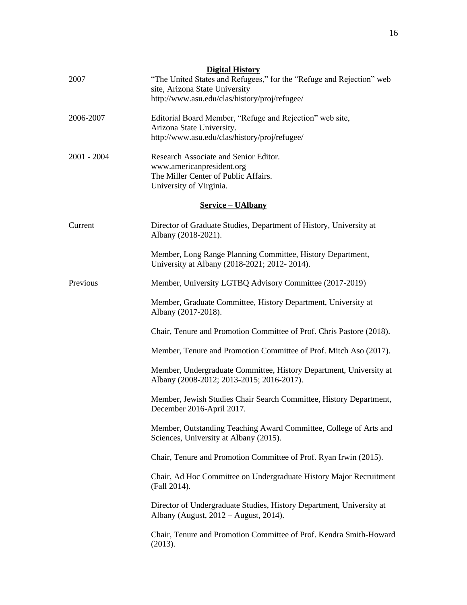| 2007          | <b>Digital History</b><br>"The United States and Refugees," for the "Refuge and Rejection" web<br>site, Arizona State University       |
|---------------|----------------------------------------------------------------------------------------------------------------------------------------|
|               | http://www.asu.edu/clas/history/proj/refugee/                                                                                          |
| 2006-2007     | Editorial Board Member, "Refuge and Rejection" web site,<br>Arizona State University.<br>http://www.asu.edu/clas/history/proj/refugee/ |
| $2001 - 2004$ | Research Associate and Senior Editor.<br>www.americanpresident.org<br>The Miller Center of Public Affairs.<br>University of Virginia.  |
|               | <b>Service – UAlbany</b>                                                                                                               |
| Current       | Director of Graduate Studies, Department of History, University at<br>Albany (2018-2021).                                              |
|               | Member, Long Range Planning Committee, History Department,<br>University at Albany (2018-2021; 2012-2014).                             |
| Previous      | Member, University LGTBQ Advisory Committee (2017-2019)                                                                                |
|               | Member, Graduate Committee, History Department, University at<br>Albany (2017-2018).                                                   |
|               | Chair, Tenure and Promotion Committee of Prof. Chris Pastore (2018).                                                                   |
|               | Member, Tenure and Promotion Committee of Prof. Mitch Aso (2017).                                                                      |
|               | Member, Undergraduate Committee, History Department, University at<br>Albany (2008-2012; 2013-2015; 2016-2017).                        |
|               | Member, Jewish Studies Chair Search Committee, History Department,<br>December 2016-April 2017.                                        |
|               | Member, Outstanding Teaching Award Committee, College of Arts and<br>Sciences, University at Albany (2015).                            |
|               | Chair, Tenure and Promotion Committee of Prof. Ryan Irwin (2015).                                                                      |
|               | Chair, Ad Hoc Committee on Undergraduate History Major Recruitment<br>(Fall 2014).                                                     |
|               | Director of Undergraduate Studies, History Department, University at<br>Albany (August, 2012 – August, 2014).                          |
|               | Chair, Tenure and Promotion Committee of Prof. Kendra Smith-Howard<br>(2013).                                                          |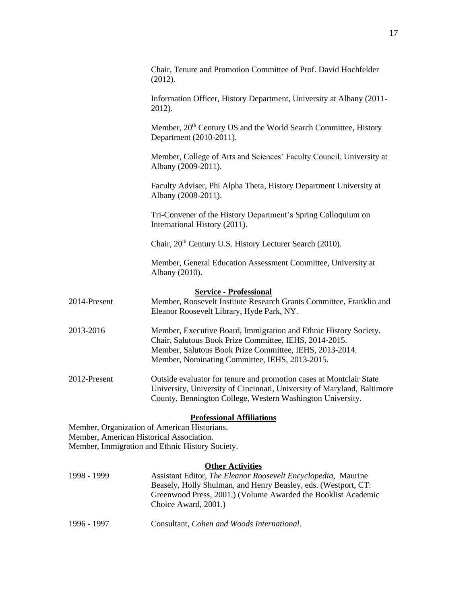|                                                                                             | Chair, Tenure and Promotion Committee of Prof. David Hochfelder<br>(2012).                                                                                                                                                              |
|---------------------------------------------------------------------------------------------|-----------------------------------------------------------------------------------------------------------------------------------------------------------------------------------------------------------------------------------------|
|                                                                                             | Information Officer, History Department, University at Albany (2011-<br>2012).                                                                                                                                                          |
|                                                                                             | Member, 20 <sup>th</sup> Century US and the World Search Committee, History<br>Department (2010-2011).                                                                                                                                  |
|                                                                                             | Member, College of Arts and Sciences' Faculty Council, University at<br>Albany (2009-2011).                                                                                                                                             |
|                                                                                             | Faculty Adviser, Phi Alpha Theta, History Department University at<br>Albany (2008-2011).                                                                                                                                               |
|                                                                                             | Tri-Convener of the History Department's Spring Colloquium on<br>International History (2011).                                                                                                                                          |
|                                                                                             | Chair, 20 <sup>th</sup> Century U.S. History Lecturer Search (2010).                                                                                                                                                                    |
|                                                                                             | Member, General Education Assessment Committee, University at<br>Albany (2010).                                                                                                                                                         |
|                                                                                             | <b>Service - Professional</b>                                                                                                                                                                                                           |
| 2014-Present                                                                                | Member, Roosevelt Institute Research Grants Committee, Franklin and<br>Eleanor Roosevelt Library, Hyde Park, NY.                                                                                                                        |
| 2013-2016                                                                                   | Member, Executive Board, Immigration and Ethnic History Society.<br>Chair, Salutous Book Prize Committee, IEHS, 2014-2015.<br>Member, Salutous Book Prize Committee, IEHS, 2013-2014.<br>Member, Nominating Committee, IEHS, 2013-2015. |
| 2012-Present                                                                                | Outside evaluator for tenure and promotion cases at Montclair State<br>University, University of Cincinnati, University of Maryland, Baltimore<br>County, Bennington College, Western Washington University.                            |
|                                                                                             | <b>Professional Affiliations</b>                                                                                                                                                                                                        |
| Member, Organization of American Historians.                                                |                                                                                                                                                                                                                                         |
| Member, American Historical Association.<br>Member, Immigration and Ethnic History Society. |                                                                                                                                                                                                                                         |
|                                                                                             | <b>Other Activities</b>                                                                                                                                                                                                                 |
| 1998 - 1999                                                                                 | Assistant Editor, The Eleanor Roosevelt Encyclopedia, Maurine                                                                                                                                                                           |
|                                                                                             | Beasely, Holly Shulman, and Henry Beasley, eds. (Westport, CT:                                                                                                                                                                          |
|                                                                                             | Greenwood Press, 2001.) (Volume Awarded the Booklist Academic<br>Choice Award, 2001.)                                                                                                                                                   |

1996 - 1997 Consultant, *Cohen and Woods International*.